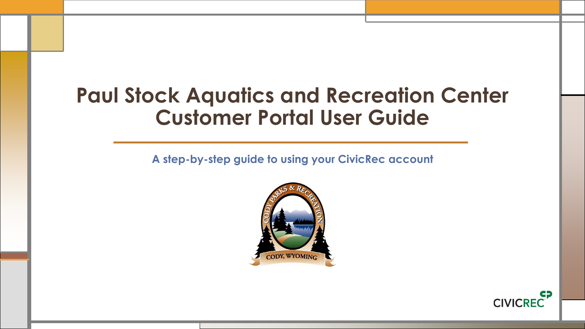## **Paul Stock Aquatics and Recreation Center Customer Portal User Guide**

**A step-by-step guide to using your CivicRec account**



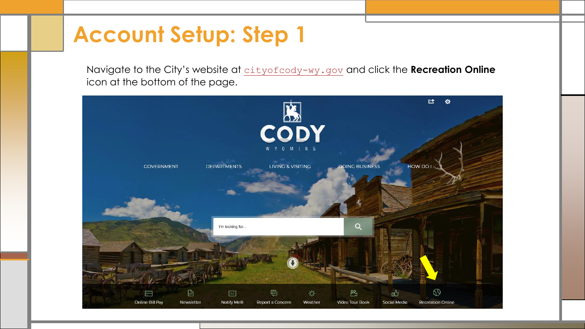Navigate to the City's website at [cityofcody-wy.gov](https://www.cityofcody-wy.gov/) and click the **Recreation Online** icon at the bottom of the page.

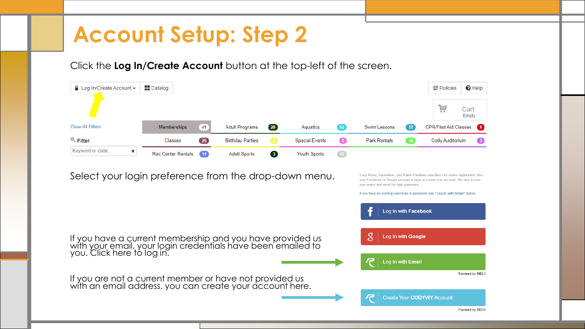Click the **Log In/Create Account** button at the top-left of the screen.

| $\Box$ Log In/Create Account $\sim$                                                                                                                     | $\blacksquare$ Catalog    |    |                         |                         |                       |           |                                                                             |                                         | <b>但 Policies</b>            | $\Theta$ Help   |
|---------------------------------------------------------------------------------------------------------------------------------------------------------|---------------------------|----|-------------------------|-------------------------|-----------------------|-----------|-----------------------------------------------------------------------------|-----------------------------------------|------------------------------|-----------------|
|                                                                                                                                                         |                           |    |                         |                         |                       |           |                                                                             |                                         | W                            | Cart<br>Empty   |
| <b>Clear All Filters</b>                                                                                                                                | Memberships               | 41 | <b>Adult Programs</b>   | $\left( 29\right)$      | Aquatics              | 52        | Swim Lessons                                                                | 37                                      | <b>CPR/First Aid Classes</b> | $\blacksquare$  |
| $Q$ Filter                                                                                                                                              | Classes                   | 25 | <b>Birthday Parties</b> | - 11                    | <b>Special Events</b> | $\bullet$ | <b>Park Rentals</b>                                                         | 16                                      | Cody Auditorium              |                 |
| Keyword or code<br>×                                                                                                                                    | <b>Rec Center Rentals</b> | 11 | <b>Adult Sports</b>     | $\overline{\mathbf{3}}$ | <b>Youth Sports</b>   | 19        |                                                                             |                                         |                              |                 |
|                                                                                                                                                         |                           |    |                         |                         |                       |           | If you have an existing username & password, use "Log In with Email" below. | Log In with Facebook                    |                              |                 |
| If you have a current membership and you have provided us<br>with your email, your login credentials have been emailed to<br>you. Click here to log in. |                           |    |                         |                         |                       |           | 8                                                                           | Log In with Google<br>Log In with Email |                              |                 |
| If you are not a current member or have not provided us<br>with an email address, you can create your account here.                                     |                           |    |                         |                         |                       |           |                                                                             |                                         | Create Your CODYWY Account   | Powered by REC1 |
|                                                                                                                                                         |                           |    |                         |                         |                       |           |                                                                             |                                         |                              | Powered by REC1 |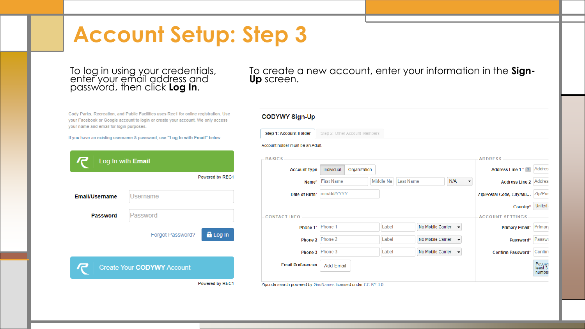### To log in using your credentials, enter your email address and password, then click **Log In**.

Cody Parks, Recreation, and Public Facilities uses Rec1 for online registration. Use your Facebook or Google account to login or create your account. We only access your name and email for login purposes.

If you have an existing username & password, use "Log In with Email" below.

|                | Log In with Email                   |
|----------------|-------------------------------------|
|                | Powered by REC1                     |
| Email/Username | Username                            |
| Password       | Password                            |
|                | <b>R</b> Log In<br>Forgot Password? |
|                | Create Your CODYWY Account          |
|                | Powered by REC1                     |

To create a new account, enter your information in the **Sign-Up** screen.

### **CODYWY Sign-Up**

| <b>Step 1: Account Holder</b>    | Step 2: Other Account Members |                               |                                               |                          |         |
|----------------------------------|-------------------------------|-------------------------------|-----------------------------------------------|--------------------------|---------|
| Account holder must be an Adult. |                               |                               |                                               |                          |         |
| <b>BASICS</b>                    |                               |                               |                                               | <b>ADDRESS</b>           |         |
| <b>Account Type</b>              | Individual<br>Organization    |                               |                                               | Address Line 1* ?        | Addres: |
| Name*                            | <b>First Name</b>             | Middle Na<br><b>Last Name</b> | N/A<br>▼                                      | <b>Address Line 2</b>    | Addres: |
| Date of Birth*                   | mm/dd/YYYY                    |                               |                                               | Zip/Postal Code, City/Mu | Zip/Pos |
|                                  |                               |                               |                                               |                          |         |
|                                  |                               |                               |                                               | Country*                 | United: |
|                                  |                               |                               |                                               | <b>ACCOUNT SETTINGS</b>  |         |
| Phone 1*                         | Phone 1                       | Label                         | No Mobile Carrier<br>$\cdot$                  | Primary Email*           | Primary |
| Phone 2                          | Phone 2                       | Label                         | No Mobile Carrier<br>$\overline{\phantom{a}}$ | Password*                | Passwo  |
| <b>CONTACT INFO</b><br>Phone 3   | Phone 3                       | Label                         | No Mobile Carrier<br>$\cdot$                  | Confirm Password*        | Confirm |

Zipcode search powered by GeoNames licensed under CC BY 4.0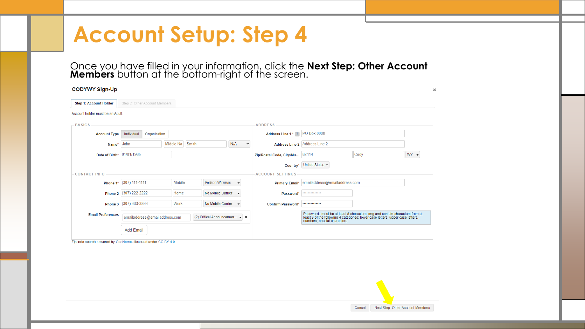Once you have filled in your information, click the **Next Step: Other Account Members** button at the bottom-right of the screen.

| <b>CODYWY Sign-Up</b>            |                               |                    |                                |                                 |                                |                               |                                                                                                                                                                                           | $\pmb{\times}$ |
|----------------------------------|-------------------------------|--------------------|--------------------------------|---------------------------------|--------------------------------|-------------------------------|-------------------------------------------------------------------------------------------------------------------------------------------------------------------------------------------|----------------|
| <b>Step 1: Account Holder</b>    | Step 2: Other Account Members |                    |                                |                                 |                                |                               |                                                                                                                                                                                           |                |
| Account holder must be an Adult. |                               |                    |                                |                                 |                                |                               |                                                                                                                                                                                           |                |
| <b>BASICS</b>                    |                               |                    |                                |                                 | <b>ADDRESS</b>                 |                               |                                                                                                                                                                                           |                |
| <b>Account Type</b>              | Individual<br>Organization    |                    |                                |                                 | Address Line 1* ?              | <b>PO Box 0000</b>            |                                                                                                                                                                                           |                |
| Name*                            | John                          | Smith<br>Middle Na |                                | N/A<br>$\overline{\phantom{a}}$ | <b>Address Line 2</b>          | Address Line 2                |                                                                                                                                                                                           |                |
| Date of Birth*                   | 01/01/1985                    |                    |                                |                                 | Zip/Postal Code, City/Mu 82414 |                               | Cody                                                                                                                                                                                      | $WY -$         |
|                                  |                               |                    |                                |                                 | Country*                       | United States -               |                                                                                                                                                                                           |                |
| <b>CONTACT INFO</b>              |                               |                    |                                |                                 | <b>ACCOUNT SETTINGS</b>        |                               |                                                                                                                                                                                           |                |
| Phone 1*                         | $(307)$ 111-1111              | Mobile             | <b>Verizon Wireless</b>        |                                 | Primary Email*                 | emailaddress@emailaddress.com |                                                                                                                                                                                           |                |
|                                  | Phone 2 (307) 222-2222        | Home               | No Mobile Carrier              |                                 | Password                       |                               |                                                                                                                                                                                           |                |
|                                  | Phone 3 (307) 333-3333        | Work               | No Mobile Carrier              |                                 | <b>Confirm Password'</b>       |                               |                                                                                                                                                                                           |                |
| <b>Email Preferences</b>         | emailaddress@emailaddress.com |                    | (2) Critical Announcemen v   x |                                 |                                |                               | Passwords must be at least 8 characters long and contain characters from at least 3 of the following 4 categories: lower case letters, upper case letters,<br>numbers, special characters |                |
|                                  | <b>Add Email</b>              |                    |                                |                                 |                                |                               |                                                                                                                                                                                           |                |

Zipcode search powered by GeoNames licensed under CC BY 4.0

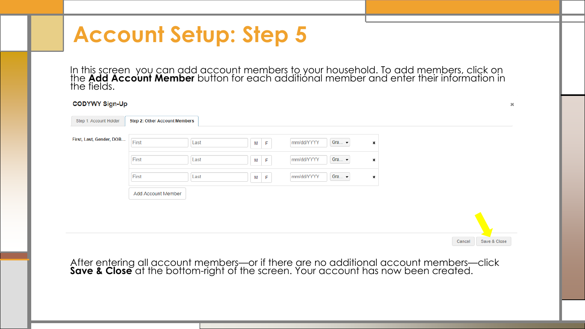In this screen you can add account members to your household. To add members, click on the **Add Account Member** button for each additional member and enter their information in the fields.

 $\infty$ 

### **CODYWY Sign-Up**

| Step 1: Account Holder   | Step 2: Other Account Members |      |                               |            |                     |   |        |
|--------------------------|-------------------------------|------|-------------------------------|------------|---------------------|---|--------|
| First, Last, Gender, DOB | First                         |      |                               |            | Gra $\dots$ $\star$ |   |        |
|                          |                               | Last | $\mathsf F$<br>M <sub>1</sub> | mm/dd/YYYY |                     | × |        |
|                          | First                         | Last | $\mathsf F$<br>M              | mm/dd/YYYY | Gra $\dots$ $\star$ | × |        |
|                          | First                         | Last | $M$ $F$                       | mm/dd/YYYY | Gra $\dots$ $\star$ | × |        |
|                          | Add Account Member            |      |                               |            |                     |   |        |
|                          |                               |      |                               |            |                     |   |        |
|                          |                               |      |                               |            |                     |   |        |
|                          |                               |      |                               |            |                     |   |        |
|                          |                               |      |                               |            |                     |   | Cancel |

After entering all account members—or if there are no additional account members—click **Save & Close** at the bottom-right of the screen. Your account has now been created.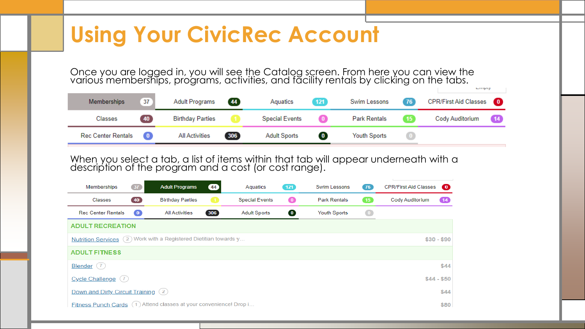Once you are logged in, you will see the Catalog screen. From here you can view the various memberships, programs, activities, and facility rentals by clicking on the tabs. Linpty

| Memberships            | 37)  | Adult Programs (44)     |     | Aquatics              | 121       | Swim Lessons        | (76) | CPR/First Aid Classes 0 |  |
|------------------------|------|-------------------------|-----|-----------------------|-----------|---------------------|------|-------------------------|--|
| Classes                | (40) | <b>Birthday Parties</b> |     | <b>Special Events</b> |           | <b>Park Rentals</b> |      | Cody Auditorium (14)    |  |
| Rec Center Rentals (0) |      | All Activities          | 306 | <b>Adult Sports</b>   | $\bullet$ | <b>Youth Sports</b> |      |                         |  |

When you select a tab, a list of items within that tab will appear underneath with a description of the program and a cost (or cost range).

| Memberships                         | 37 <sub>2</sub> | <b>Adult Programs</b>                                             | 44             | Aquatics              | $121$     | Swim Lessons        | (76)         | <b>CPR/First Aid Classes</b><br>$\bullet$ |
|-------------------------------------|-----------------|-------------------------------------------------------------------|----------------|-----------------------|-----------|---------------------|--------------|-------------------------------------------|
| Classes                             | (40)            | <b>Birthday Parties</b>                                           | $\blacksquare$ | <b>Special Events</b> | $\bullet$ | <b>Park Rentals</b> | $\boxed{15}$ | Cody Auditorium<br>$\left( 14 \right)$    |
| <b>Rec Center Rentals</b>           | $\bullet$       | <b>All Activities</b>                                             | 306            | <b>Adult Sports</b>   | $\bullet$ | <b>Youth Sports</b> | $\bullet$    |                                           |
| <b>ADULT RECREATION</b>             |                 |                                                                   |                |                       |           |                     |              |                                           |
|                                     |                 | Nutrition Services (2) Work with a Registered Dietitian towards y |                |                       |           |                     |              | $$30 - $90$                               |
| <b>ADULT FITNESS</b>                |                 |                                                                   |                |                       |           |                     |              |                                           |
| Blender $(7)$                       |                 |                                                                   |                |                       |           |                     |              | \$44                                      |
| Cycle Challenge $(7)$               |                 |                                                                   |                |                       |           |                     |              | $$44 - $50$                               |
| Down and Dirty Circuit Training (2) |                 |                                                                   |                |                       |           |                     |              | \$44                                      |
| <b>Fitness Punch Cards</b>          | (1)             | Attend classes at your convenience! Drop i                        |                |                       |           |                     |              | \$80                                      |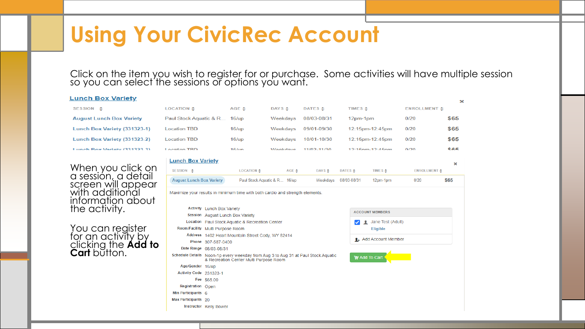Click on the item you wish to register for or purchase. Some activities will have multiple session so you can select the sessions or options you want.

#### **Lunch Box Variety**

| SESSION $\triangle$             | <b>LOCATION <math>\triangle</math></b> | AGE $\triangle$ | DAYS $\triangle$ | DATES $\triangle$ | TIMES $\triangle$   | ENROLLMENT $\triangle$ |                   |
|---------------------------------|----------------------------------------|-----------------|------------------|-------------------|---------------------|------------------------|-------------------|
| <b>August Lunch Box Variety</b> | Paul Stock Aguatic & R 16/up           |                 | Weekdays         | 08/03-08/31       | 12pm-1pm            | 0/20                   | \$65              |
| Lunch Box Variety (331323-1)    | <b>Location TBD</b>                    | 16/up           | Weekdavs         | 09/01-09/30       | 12:15pm-12:45pm     | 0/20                   | \$65              |
| Lunch Box Variety (331323-2)    | <b>Location TBD</b>                    | 16/up           | Weekdays         | 10/01-10/30       | 12:15pm-12:45pm     | 0/20                   | \$65              |
| Lunch Boy Variety (331323-3)    | Location TRD                           | $16$ lun        | <i>Mookdays</i>  | $11/02 - 11/30$   | $12.15nm - 12.45nm$ | 0/20                   | <b><i>RRE</i></b> |
|                                 |                                        |                 |                  |                   |                     |                        |                   |

When you click on a session, a detail screen will appear with additional information about the activity.

You can register for an activity by clicking the **Add to Cart** button.

| ui Stock Aquatic & R To/up       |                                   |                                                                                                                             | vveekdays       | <b>UO/UJ-UO/JI</b> |                   | 1∠pm-1pm      |                                     | U/∠U                    | აით               |
|----------------------------------|-----------------------------------|-----------------------------------------------------------------------------------------------------------------------------|-----------------|--------------------|-------------------|---------------|-------------------------------------|-------------------------|-------------------|
| cation TBD                       |                                   | 16/up                                                                                                                       | Weekdays        | 09/01-09/30        |                   |               | 12:15pm-12:45pm                     | 0/20                    | \$65              |
| cation TBD                       |                                   | 16/up                                                                                                                       | Weekdays        | 10/01-10/30        |                   |               | 12:15pm-12:45pm                     | 0/20                    | \$65              |
| estion TRD                       |                                   | $16 \text{ km}$                                                                                                             | Weekdays        | 11/02-11/30        |                   |               | $12.15$ nm <sub>-12</sub> . $45$ nm | 0/20                    | <b><i>RR5</i></b> |
| unch Box Variety                 |                                   |                                                                                                                             |                 |                    |                   |               |                                     |                         | $\mathbf x$       |
| SESSION $\triangle$              |                                   | LOCATION <sup>+</sup>                                                                                                       | AGE $\triangle$ | DAYS $\triangle$   | DATES $\triangle$ |               | TIMES $\triangle$                   | <b>ENROLLMENT &amp;</b> |                   |
| <b>August Lunch Box Variety</b>  |                                   | Paul Stock Aquatic & R 16/up                                                                                                |                 | Weekdays           |                   | 08/03-08/31   | 12pm-1pm                            | 0/20                    | \$65              |
|                                  |                                   | laximize your results in minimum time with both cardio and strength elements.                                               |                 |                    |                   |               |                                     |                         |                   |
|                                  |                                   |                                                                                                                             |                 |                    |                   |               |                                     |                         |                   |
|                                  | <b>Activity Lunch Box Variety</b> |                                                                                                                             |                 |                    |                   |               |                                     |                         |                   |
|                                  |                                   | Session August Lunch Box Variety                                                                                            |                 |                    |                   |               | <b>ACCOUNT MEMBERS</b>              |                         |                   |
|                                  |                                   | Location Paul Stock Aquatic & Recreation Center                                                                             |                 |                    |                   |               | Jane Test (Adult)                   |                         |                   |
| Room/Facility Multi Purpose Room |                                   |                                                                                                                             |                 |                    |                   |               | <b>Eligible</b>                     |                         |                   |
|                                  |                                   | Address 1402 Heart Mountain Street Cody, WY 82414                                                                           |                 |                    |                   |               |                                     |                         |                   |
|                                  | Phone 307-587-0400                |                                                                                                                             |                 |                    |                   |               | <b>1.</b> Add Account Member        |                         |                   |
|                                  | Date Range 08/03-08/31            |                                                                                                                             |                 |                    |                   |               |                                     |                         |                   |
|                                  |                                   | Schedule Details Noon-1p every weekday from Aug 3 to Aug 31 at Paul Stock Aquatic<br>& Recreation Center Multi Purpose Room |                 |                    |                   | W Add To Cart |                                     |                         |                   |
| Age/Gender 16/up                 |                                   |                                                                                                                             |                 |                    |                   |               |                                     |                         |                   |
| Activity Code 231323-1           |                                   |                                                                                                                             |                 |                    |                   |               |                                     |                         |                   |
|                                  | Fee \$65.00                       |                                                                                                                             |                 |                    |                   |               |                                     |                         |                   |
| Registration Open                |                                   |                                                                                                                             |                 |                    |                   |               |                                     |                         |                   |
| Min Participants 6               |                                   |                                                                                                                             |                 |                    |                   |               |                                     |                         |                   |
| Max Participants 20              |                                   |                                                                                                                             |                 |                    |                   |               |                                     |                         |                   |
|                                  | Instructor Kelly Bower            |                                                                                                                             |                 |                    |                   |               |                                     |                         |                   |
|                                  |                                   |                                                                                                                             |                 |                    |                   |               |                                     |                         |                   |

 $\mathbf{x}$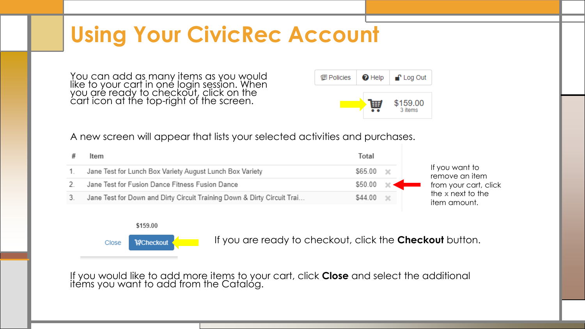You can add as many items as you would like to your cart in one login session. When you are ready to checkout, click on the cart icon at the top-right of the screen.



A new screen will appear that lists your selected activities and purchases.



### \$159.00



If you are ready to checkout, click the **Checkout** button.

If you would like to add more items to your cart, click **Close** and select the additional items you want to add from the Catalog.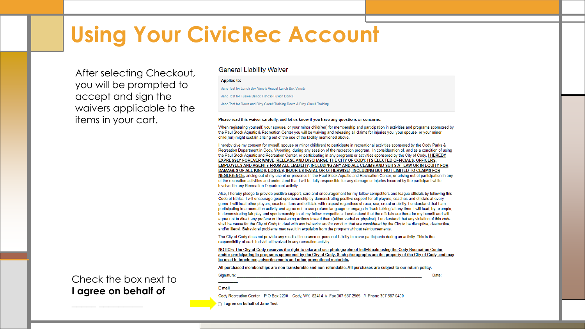After selecting Checkout, you will be prompted to accept and sign the waivers applicable to the items in your cart.

### **General Liability Waiver**

#### **Applies to:**

Jane Test for Lunch Box Variety August Lunch Box Variety

Jane Test for Fusion Dance Fitness Fusion Dance

Jane Test for Down and Dirty Circuit Training Down & Dirty Circuit Training

#### Please read this waiver carefully, and let us know if you have any questions or concerns.

When registering yourself, your spouse, or your minor child(ren) for membership and participation in activities and programs sponsored by the Paul Stock Aquatic & Recreation Center you will be waiving and releasing all claims for injuries you, your spouse, or your minor child(ren) might sustain arising out of the use of the facility mentioned above.

I hereby give my consent for myself, spouse or minor child(ren) to participate in recreational activities sponsored by the Cody Parks & Recreation Department in Cody, Wyoming, during any session of the recreation program. In consideration of, and as a condition of using the Paul Stock Aquatic and Recreation Center, or participating in any programs or activities sponsored by the City of Cody, I HEREBY EXPRESSLY FOREVER WAIVE, RELEASE AND DISCHARGE THE CITY OF CODY, ITS ELECTED OFFICIALS, OFFICERS, EMPLOYEES AND AGENTS FROM ALL LIABILITY, INCLUDING ANY AND ALL CLAIMS AND SUITS AT LAW OR IN EQUITY FOR DAMAGES OF ALL KINDS, LOSSES, INJURIES (FATAL OR OTHERWISE), INCLUDING BUT NOT LIMITED TO CLAIMS FOR NEGLIGENCE, arising out of my use of or presence in the Paul Stock Aguatic and Recreation Center, or arising out of participation in any of the recreation activities and understand that I will be fully responsible for any damage or injuries incurred by the participant while involved in any Recreation Department activity.

Also. I hereby pledge to provide positive support, care and encouragement for my fellow competitors and league officials by following this Code of Ethics. I will encourage good sportsmanship by demonstrating positive support for all players, coaches and officials at every game. I will treat other players, coaches, fans and officials with respect regardless of race, sex, creed or ability. I understand that I am participating in a recreation activity and agree not to use profane language or engage in 'trash talking' at any time. I will lead, by example, in demonstrating fair play and sportsmanship to all my fellow competitors. I understand that the officials are there for my benefit and will agree not to direct any profane or threatening actions toward them (either verbal or physical). I understand that any violation of this code shall be cause for the City of Cody to deal with any behavior and/or conduct that are considered by the City to be disruptive, destructive, and/or illegal. Behavioral problems may result in expulsion from the program without reimbursements.

The City of Cody does not provide any medical insurance or personal liability to cover participants during an activity. This is the responsibility of each individual involved in any recreation activity.

NOTICE: The City of Cody reserves the right to take and use photographs of individuals using the Cody Recreation Center and/or participating in programs sponsored by the City of Cody. Such photographs are the property of the City of Cody, and may be used in brochures, advertisements and other promotional materials.

Date:

All purchased memberships are non-transferable and non-refundable. All purchases are subject to our return policy.

### Check the box next to **I agree on behalf of**

**\_\_\_\_\_ \_\_\_\_\_\_\_\_\_**

Signature: E mail

Cody Recreation Center - P O Box 2200 - Cody, WY. 82414 // Fax 307 587 2565 // Phone 307 587 0400

□ Lagree on behalf of Jane Test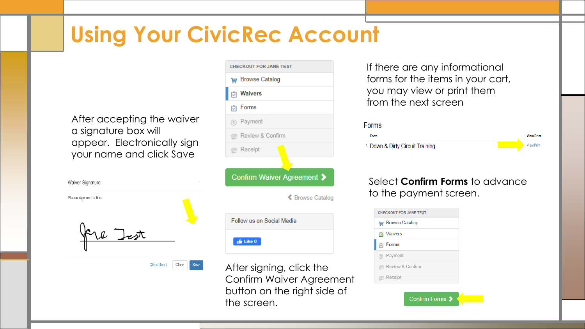After accepting the waiver a signature box will appear. Electronically sign your name and click Save

| Waiver Signature         |  |
|--------------------------|--|
| Please sign on the line: |  |
|                          |  |
|                          |  |
|                          |  |
|                          |  |

Clear/Reset

Close

| <b>CHECKOUT FOR JANE TEST</b> |
|-------------------------------|
| <b>THE Browse Catalog</b>     |
| <b>D</b> Waivers              |
| <b>b</b> Forms                |
| (5) Payment                   |
| <b>E</b> Review & Confirm     |
| <b>图 Receipt</b>              |
|                               |
| Confirm Waiver Agreement >    |
| ≰ Browse Catalog              |
| Follow us on Social Media     |
| Like 0                        |

After signing, click the Confirm Waiver Agreement button on the right side of the screen.

If there are any informational forms for the items in your cart, you may view or print them from the next screen

### Forms



### Select **Confirm Forms** to advance to the payment screen.

| י <del>שן</del> Browse Catalog<br>Waivers<br>।ञ<br><b>Forms</b><br>図<br>Payment<br>(5) |
|----------------------------------------------------------------------------------------|
|                                                                                        |
|                                                                                        |
|                                                                                        |
|                                                                                        |
| Review & Confirm<br>e                                                                  |
| <b>Receipt</b>                                                                         |
|                                                                                        |

Confirm Forms 2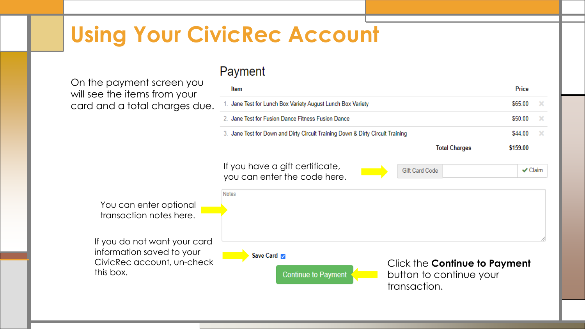On the payment screen you will see the items from your card and a total charges due.

this box.

### Payment

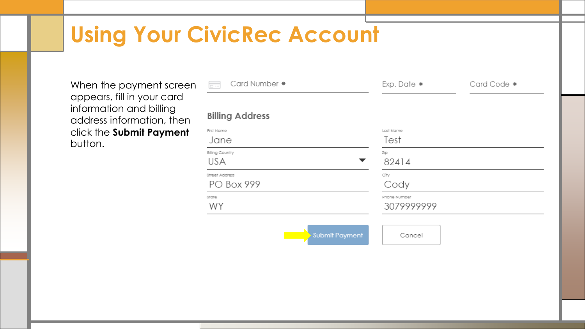When the payment screen appears, fill in your card information and billing address information, then click the **Submit Payment** button.

| Card Number *<br>$\overline{\Box}$   | Exp. Date *                     | Card Code * |
|--------------------------------------|---------------------------------|-------------|
| <b>Billing Address</b>               |                                 |             |
| First Name<br>Jane                   | Last Name<br>Test               |             |
| <b>Billing Country</b><br><b>USA</b> | Zip<br>82414                    |             |
| Street Address<br><b>PO Box 999</b>  | City<br>Cody                    |             |
| State<br>WY                          | Phone Number<br>3079999999      |             |
|                                      | <b>Submit Payment</b><br>Cancel |             |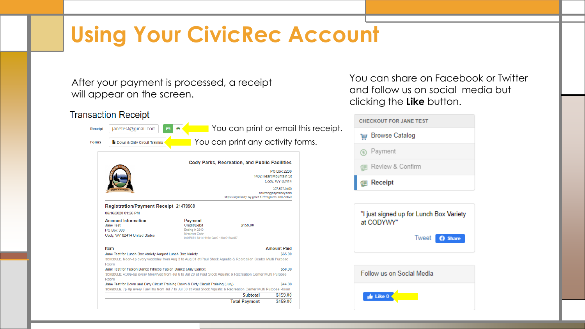After your payment is processed, a receipt will appear on the screen.

### **Transaction Receipt**



You can share on Facebook or Twitter and follow us on social media but clicking the **Like** button.

| <b>CHECKOUT FOR JANE TEST</b> |                               |  |
|-------------------------------|-------------------------------|--|
| 圜                             | <b>Browse Catalog</b>         |  |
|                               | (5) Payment                   |  |
|                               | <b>图 Review &amp; Confirm</b> |  |
|                               | <b>B</b> Receipt              |  |
|                               |                               |  |

"I just signed up for Lunch Box Variety at CODYWY" **I** weet **3** Share

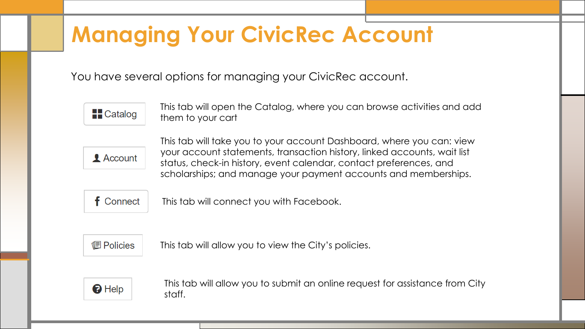# **Managing Your CivicRec Account**

You have several options for managing your CivicRec account.



This tab will open the Catalog, where you can browse activities and add them to your cart



This tab will take you to your account Dashboard, where you can: view your account statements, transaction history, linked accounts, wait list status, check-in history, event calendar, contact preferences, and scholarships; and manage your payment accounts and memberships.



This tab will connect you with Facebook.



This tab will allow you to view the City's policies.



This tab will allow you to submit an online request for assistance from City staff.